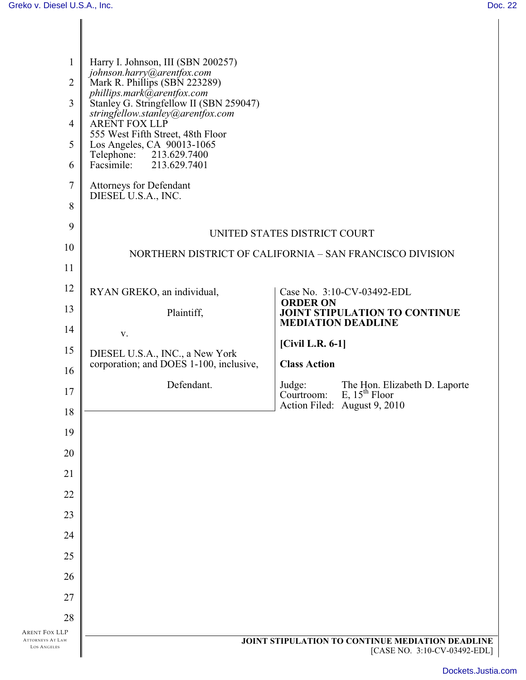| $\mathbf{1}$<br>$\overline{2}$<br>3<br>$\overline{4}$<br>5<br>6 | Harry I. Johnson, III (SBN 200257)<br>johnson.harry@arentfox.com<br>Mark R. Phillips (SBN 223289)<br>phillips.mark@arentfox.com<br>Stanley G. Stringfellow II (SBN 259047)<br>stringfellow.stanley@arentfox.com<br><b>ARENT FOX LLP</b><br>555 West Fifth Street, 48th Floor<br>Los Angeles, CA 90013-1065<br>213.629.7400<br>Telephone:<br>Facsimile:<br>213.629.7401 |                      |                                                                                         |
|-----------------------------------------------------------------|------------------------------------------------------------------------------------------------------------------------------------------------------------------------------------------------------------------------------------------------------------------------------------------------------------------------------------------------------------------------|----------------------|-----------------------------------------------------------------------------------------|
| 7<br>8                                                          | Attorneys for Defendant<br>DIESEL U.S.A., INC.                                                                                                                                                                                                                                                                                                                         |                      |                                                                                         |
| 9                                                               | UNITED STATES DISTRICT COURT                                                                                                                                                                                                                                                                                                                                           |                      |                                                                                         |
| 10                                                              | NORTHERN DISTRICT OF CALIFORNIA - SAN FRANCISCO DIVISION                                                                                                                                                                                                                                                                                                               |                      |                                                                                         |
| 11                                                              |                                                                                                                                                                                                                                                                                                                                                                        |                      |                                                                                         |
| 12                                                              | RYAN GREKO, an individual,                                                                                                                                                                                                                                                                                                                                             |                      | Case No. 3:10-CV-03492-EDL                                                              |
| 13                                                              | Plaintiff,                                                                                                                                                                                                                                                                                                                                                             | <b>ORDER ON</b>      | JOINT STIPULATION TO CONTINUE                                                           |
| 14                                                              | $\mathbf{V}$ .                                                                                                                                                                                                                                                                                                                                                         |                      | <b>MEDIATION DEADLINE</b>                                                               |
| 15                                                              | DIESEL U.S.A., INC., a New York<br>corporation; and DOES 1-100, inclusive,                                                                                                                                                                                                                                                                                             | $[Civil L.R. 6-1]$   |                                                                                         |
| 16                                                              |                                                                                                                                                                                                                                                                                                                                                                        | <b>Class Action</b>  |                                                                                         |
| 17<br>18                                                        | Defendant.                                                                                                                                                                                                                                                                                                                                                             | Judge:<br>Courtroom: | The Hon. Elizabeth D. Laporte E, 15 <sup>th</sup> Floor<br>Action Filed: August 9, 2010 |
| 19                                                              |                                                                                                                                                                                                                                                                                                                                                                        |                      |                                                                                         |
| 20                                                              |                                                                                                                                                                                                                                                                                                                                                                        |                      |                                                                                         |
| 21                                                              |                                                                                                                                                                                                                                                                                                                                                                        |                      |                                                                                         |
| 22                                                              |                                                                                                                                                                                                                                                                                                                                                                        |                      |                                                                                         |
| 23                                                              |                                                                                                                                                                                                                                                                                                                                                                        |                      |                                                                                         |
|                                                                 |                                                                                                                                                                                                                                                                                                                                                                        |                      |                                                                                         |
|                                                                 |                                                                                                                                                                                                                                                                                                                                                                        |                      |                                                                                         |
| 24                                                              |                                                                                                                                                                                                                                                                                                                                                                        |                      |                                                                                         |
| 25                                                              |                                                                                                                                                                                                                                                                                                                                                                        |                      |                                                                                         |
| 26                                                              |                                                                                                                                                                                                                                                                                                                                                                        |                      |                                                                                         |
| 27                                                              |                                                                                                                                                                                                                                                                                                                                                                        |                      |                                                                                         |
| 28<br><b>ARENT FOX LLP</b>                                      |                                                                                                                                                                                                                                                                                                                                                                        |                      |                                                                                         |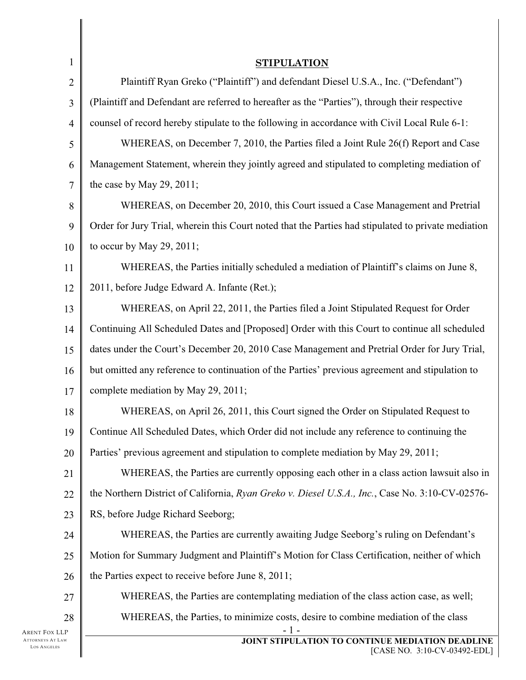| $\mathbf{1}$                                     | <b>STIPULATION</b>                                                                                  |  |  |
|--------------------------------------------------|-----------------------------------------------------------------------------------------------------|--|--|
| $\mathbf{2}$                                     | Plaintiff Ryan Greko ("Plaintiff") and defendant Diesel U.S.A., Inc. ("Defendant")                  |  |  |
| 3                                                | (Plaintiff and Defendant are referred to hereafter as the "Parties"), through their respective      |  |  |
| $\overline{4}$                                   | counsel of record hereby stipulate to the following in accordance with Civil Local Rule 6-1:        |  |  |
| 5                                                | WHEREAS, on December 7, 2010, the Parties filed a Joint Rule 26(f) Report and Case                  |  |  |
| 6                                                | Management Statement, wherein they jointly agreed and stipulated to completing mediation of         |  |  |
| $\tau$                                           | the case by May 29, 2011;                                                                           |  |  |
| $8\,$                                            | WHEREAS, on December 20, 2010, this Court issued a Case Management and Pretrial                     |  |  |
| 9                                                | Order for Jury Trial, wherein this Court noted that the Parties had stipulated to private mediation |  |  |
| 10                                               | to occur by May 29, 2011;                                                                           |  |  |
| 11                                               | WHEREAS, the Parties initially scheduled a mediation of Plaintiff's claims on June 8,               |  |  |
| 12                                               | 2011, before Judge Edward A. Infante (Ret.);                                                        |  |  |
| 13                                               | WHEREAS, on April 22, 2011, the Parties filed a Joint Stipulated Request for Order                  |  |  |
| 14                                               | Continuing All Scheduled Dates and [Proposed] Order with this Court to continue all scheduled       |  |  |
| 15                                               | dates under the Court's December 20, 2010 Case Management and Pretrial Order for Jury Trial,        |  |  |
| 16                                               | but omitted any reference to continuation of the Parties' previous agreement and stipulation to     |  |  |
| 17                                               | complete mediation by May 29, 2011;                                                                 |  |  |
| 18                                               | WHEREAS, on April 26, 2011, this Court signed the Order on Stipulated Request to                    |  |  |
| 19                                               | Continue All Scheduled Dates, which Order did not include any reference to continuing the           |  |  |
| 20                                               | Parties' previous agreement and stipulation to complete mediation by May 29, 2011;                  |  |  |
| 21                                               | WHEREAS, the Parties are currently opposing each other in a class action lawsuit also in            |  |  |
| 22                                               | the Northern District of California, Ryan Greko v. Diesel U.S.A., Inc., Case No. 3:10-CV-02576-     |  |  |
| 23                                               | RS, before Judge Richard Seeborg;                                                                   |  |  |
| 24                                               | WHEREAS, the Parties are currently awaiting Judge Seeborg's ruling on Defendant's                   |  |  |
| 25                                               | Motion for Summary Judgment and Plaintiff's Motion for Class Certification, neither of which        |  |  |
| 26                                               | the Parties expect to receive before June 8, 2011;                                                  |  |  |
| 27                                               | WHEREAS, the Parties are contemplating mediation of the class action case, as well;                 |  |  |
| 28                                               | WHEREAS, the Parties, to minimize costs, desire to combine mediation of the class                   |  |  |
| Arent Fox LLP<br>ATTORNEYS AT LAW<br>LOS ANGELES | $-1-$<br>JOINT STIPULATION TO CONTINUE MEDIATION DEADLINE<br>[CASE NO. 3:10-CV-03492-EDL]           |  |  |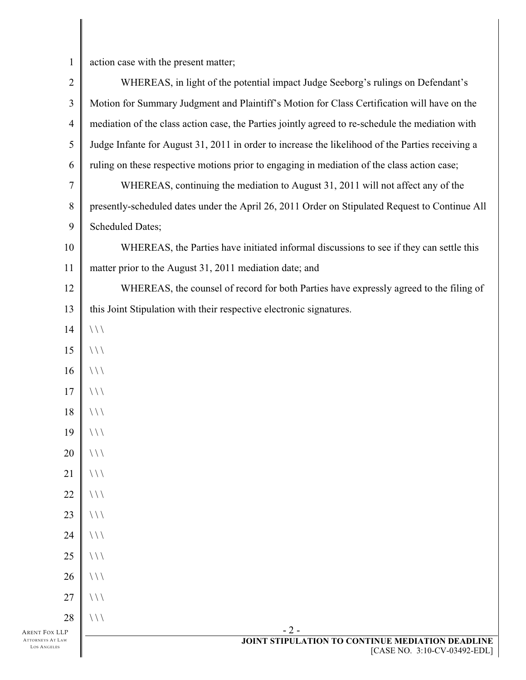$\mathbf{1}$ 

action case with the present matter;

| $\overline{2}$                         | WHEREAS, in light of the potential impact Judge Seeborg's rulings on Defendant's                 |
|----------------------------------------|--------------------------------------------------------------------------------------------------|
| $\mathfrak{Z}$                         | Motion for Summary Judgment and Plaintiff's Motion for Class Certification will have on the      |
| $\overline{4}$                         | mediation of the class action case, the Parties jointly agreed to re-schedule the mediation with |
| $\mathfrak s$                          | Judge Infante for August 31, 2011 in order to increase the likelihood of the Parties receiving a |
| 6                                      | ruling on these respective motions prior to engaging in mediation of the class action case;      |
| $\tau$                                 | WHEREAS, continuing the mediation to August 31, 2011 will not affect any of the                  |
| $8\,$                                  | presently-scheduled dates under the April 26, 2011 Order on Stipulated Request to Continue All   |
| 9                                      | <b>Scheduled Dates;</b>                                                                          |
| 10                                     | WHEREAS, the Parties have initiated informal discussions to see if they can settle this          |
| 11                                     | matter prior to the August 31, 2011 mediation date; and                                          |
| 12                                     | WHEREAS, the counsel of record for both Parties have expressly agreed to the filing of           |
| 13                                     | this Joint Stipulation with their respective electronic signatures.                              |
| 14                                     | $\frac{1}{2}$                                                                                    |
| 15                                     | $\frac{1}{2}$                                                                                    |
| 16                                     | $\frac{1}{2}$                                                                                    |
| 17                                     | $\frac{1}{2}$                                                                                    |
| 18                                     | $\frac{1}{2}$                                                                                    |
| 19                                     | $\frac{1}{2}$                                                                                    |
| 20                                     | / / /                                                                                            |
| 21                                     | $\frac{1}{2}$                                                                                    |
| 22                                     | $\frac{1}{2}$                                                                                    |
| 23                                     | $\frac{1}{2}$                                                                                    |
| 24                                     | $\frac{1}{2}$                                                                                    |
| 25                                     | $\frac{1}{2}$                                                                                    |
| 26                                     | $\frac{1}{2}$                                                                                    |
| 27                                     | $\frac{1}{2}$                                                                                    |
| 28                                     | $\frac{1}{2}$                                                                                    |
| ARENT FOX LLP                          | $-2-$                                                                                            |
| <b>ATTORNEYS AT LAW</b><br>LOS ANGELES | JOINT STIPULATION TO CONTINUE MEDIATION DEADLINE<br>[CASE NO. 3:10-CV-03492-EDL]                 |